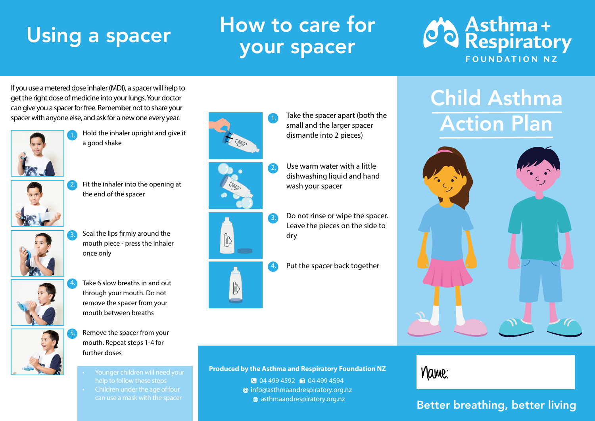# Using a spacer

# How to care for your spacer



If you use a metered dose inhaler (MDI), a spacer will help to get the right dose of medicine into your lungs. Your doctor can give you a spacer for free. Remember not to share your spacer with anyone else, and ask for a new one every year.



Hold the inhaler upright and give it a good shake



Fit the inhaler into the opening at the end of the spacer



Seal the lips firmly around the mouth piece - press the inhaler once only



Take 6 slow breaths in and out through your mouth. Do not remove the spacer from your mouth between breaths 4.



- Remove the spacer from your mouth. Repeat steps 1-4 for further doses
	- Younger children will need your
- Children under the age of four can use a mask with the spacer





3.  $\begin{bmatrix} 1 \\ 0 \end{bmatrix}$ 



Put the spacer back together

Do not rinse or wipe the spacer. Leave the pieces on the side to

small and the larger spacer dismantle into 2 pieces)

Use warm water with a little dishwashing liquid and hand

wash your spacer

### Child Asthma Action Plan Take the spacer apart (both the



# Name:

### Better breathing, better living

### **Produced by the Asthma and Respiratory Foundation NZ** 04 499 4592 10 04 499 4594

dry

4.

 info@asthmaandrespiratory.org.nz asthmaandrespiratory.org.nz